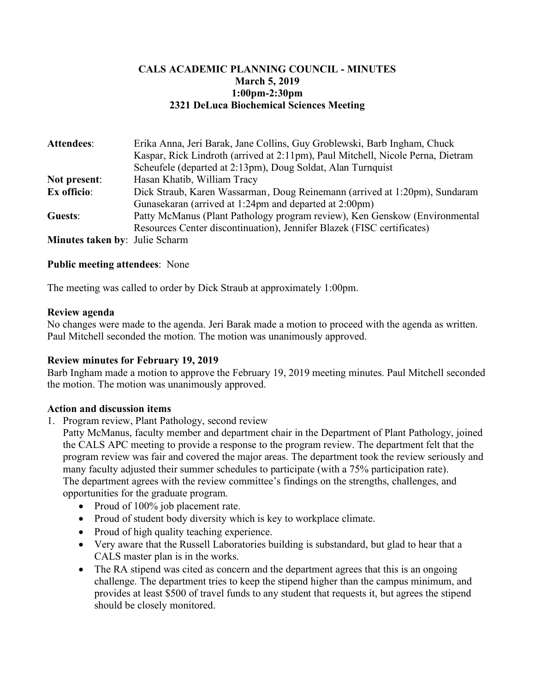# **CALS ACADEMIC PLANNING COUNCIL - MINUTES March 5, 2019 1:00pm-2:30pm 2321 DeLuca Biochemical Sciences Meeting**

| Attendees:                            | Erika Anna, Jeri Barak, Jane Collins, Guy Groblewski, Barb Ingham, Chuck        |
|---------------------------------------|---------------------------------------------------------------------------------|
|                                       | Kaspar, Rick Lindroth (arrived at 2:11pm), Paul Mitchell, Nicole Perna, Dietram |
|                                       | Scheufele (departed at 2:13pm), Doug Soldat, Alan Turnquist                     |
| Not present:                          | Hasan Khatib, William Tracy                                                     |
| Ex officio:                           | Dick Straub, Karen Wassarman, Doug Reinemann (arrived at 1:20pm), Sundaram      |
|                                       | Gunasekaran (arrived at 1:24pm and departed at 2:00pm)                          |
| Guests:                               | Patty McManus (Plant Pathology program review), Ken Genskow (Environmental      |
|                                       | Resources Center discontinuation), Jennifer Blazek (FISC certificates)          |
| <b>Minutes taken by: Julie Scharm</b> |                                                                                 |

### **Public meeting attendees**: None

The meeting was called to order by Dick Straub at approximately 1:00pm.

#### **Review agenda**

No changes were made to the agenda. Jeri Barak made a motion to proceed with the agenda as written. Paul Mitchell seconded the motion. The motion was unanimously approved.

### **Review minutes for February 19, 2019**

Barb Ingham made a motion to approve the February 19, 2019 meeting minutes. Paul Mitchell seconded the motion. The motion was unanimously approved.

#### **Action and discussion items**

1. Program review, Plant Pathology, second review

Patty McManus, faculty member and department chair in the Department of Plant Pathology, joined the CALS APC meeting to provide a response to the program review. The department felt that the program review was fair and covered the major areas. The department took the review seriously and many faculty adjusted their summer schedules to participate (with a 75% participation rate). The department agrees with the review committee's findings on the strengths, challenges, and opportunities for the graduate program.

- Proud of 100% job placement rate.
- Proud of student body diversity which is key to workplace climate.
- Proud of high quality teaching experience.
- Very aware that the Russell Laboratories building is substandard, but glad to hear that a CALS master plan is in the works.
- The RA stipend was cited as concern and the department agrees that this is an ongoing challenge. The department tries to keep the stipend higher than the campus minimum, and provides at least \$500 of travel funds to any student that requests it, but agrees the stipend should be closely monitored.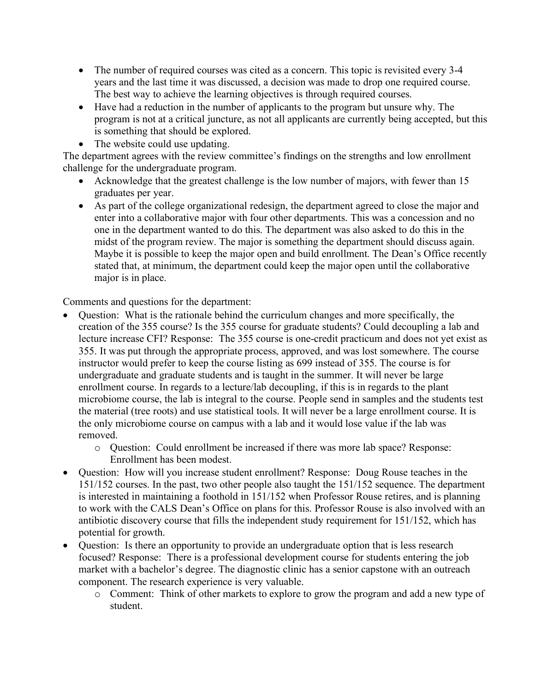- The number of required courses was cited as a concern. This topic is revisited every 3-4 years and the last time it was discussed, a decision was made to drop one required course. The best way to achieve the learning objectives is through required courses.
- Have had a reduction in the number of applicants to the program but unsure why. The program is not at a critical juncture, as not all applicants are currently being accepted, but this is something that should be explored.
- The website could use updating.

The department agrees with the review committee's findings on the strengths and low enrollment challenge for the undergraduate program.

- Acknowledge that the greatest challenge is the low number of majors, with fewer than 15 graduates per year.
- As part of the college organizational redesign, the department agreed to close the major and enter into a collaborative major with four other departments. This was a concession and no one in the department wanted to do this. The department was also asked to do this in the midst of the program review. The major is something the department should discuss again. Maybe it is possible to keep the major open and build enrollment. The Dean's Office recently stated that, at minimum, the department could keep the major open until the collaborative major is in place.

Comments and questions for the department:

- Question: What is the rationale behind the curriculum changes and more specifically, the creation of the 355 course? Is the 355 course for graduate students? Could decoupling a lab and lecture increase CFI? Response: The 355 course is one-credit practicum and does not yet exist as 355. It was put through the appropriate process, approved, and was lost somewhere. The course instructor would prefer to keep the course listing as 699 instead of 355. The course is for undergraduate and graduate students and is taught in the summer. It will never be large enrollment course. In regards to a lecture/lab decoupling, if this is in regards to the plant microbiome course, the lab is integral to the course. People send in samples and the students test the material (tree roots) and use statistical tools. It will never be a large enrollment course. It is the only microbiome course on campus with a lab and it would lose value if the lab was removed.
	- o Question: Could enrollment be increased if there was more lab space? Response: Enrollment has been modest.
- Question: How will you increase student enrollment? Response: Doug Rouse teaches in the 151/152 courses. In the past, two other people also taught the 151/152 sequence. The department is interested in maintaining a foothold in 151/152 when Professor Rouse retires, and is planning to work with the CALS Dean's Office on plans for this. Professor Rouse is also involved with an antibiotic discovery course that fills the independent study requirement for 151/152, which has potential for growth.
- Ouestion: Is there an opportunity to provide an undergraduate option that is less research focused? Response: There is a professional development course for students entering the job market with a bachelor's degree. The diagnostic clinic has a senior capstone with an outreach component. The research experience is very valuable.
	- o Comment: Think of other markets to explore to grow the program and add a new type of student.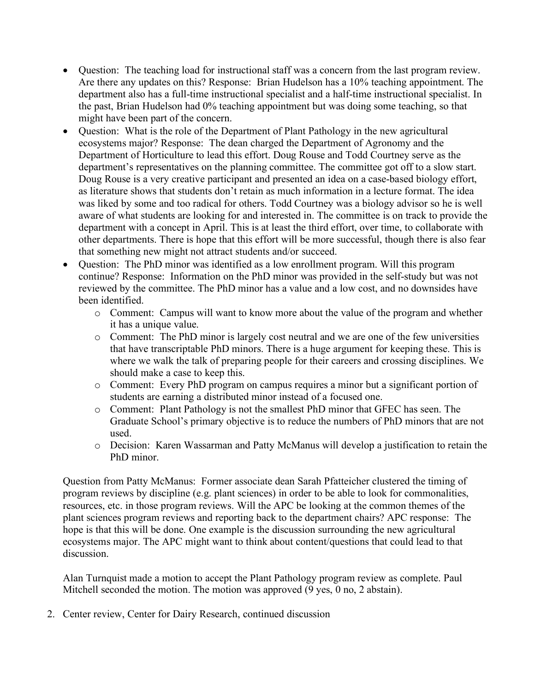- Question: The teaching load for instructional staff was a concern from the last program review. Are there any updates on this? Response: Brian Hudelson has a 10% teaching appointment. The department also has a full-time instructional specialist and a half-time instructional specialist. In the past, Brian Hudelson had 0% teaching appointment but was doing some teaching, so that might have been part of the concern.
- Question: What is the role of the Department of Plant Pathology in the new agricultural ecosystems major? Response: The dean charged the Department of Agronomy and the Department of Horticulture to lead this effort. Doug Rouse and Todd Courtney serve as the department's representatives on the planning committee. The committee got off to a slow start. Doug Rouse is a very creative participant and presented an idea on a case-based biology effort, as literature shows that students don't retain as much information in a lecture format. The idea was liked by some and too radical for others. Todd Courtney was a biology advisor so he is well aware of what students are looking for and interested in. The committee is on track to provide the department with a concept in April. This is at least the third effort, over time, to collaborate with other departments. There is hope that this effort will be more successful, though there is also fear that something new might not attract students and/or succeed.
- Question: The PhD minor was identified as a low enrollment program. Will this program continue? Response: Information on the PhD minor was provided in the self-study but was not reviewed by the committee. The PhD minor has a value and a low cost, and no downsides have been identified.
	- o Comment: Campus will want to know more about the value of the program and whether it has a unique value.
	- o Comment: The PhD minor is largely cost neutral and we are one of the few universities that have transcriptable PhD minors. There is a huge argument for keeping these. This is where we walk the talk of preparing people for their careers and crossing disciplines. We should make a case to keep this.
	- o Comment: Every PhD program on campus requires a minor but a significant portion of students are earning a distributed minor instead of a focused one.
	- o Comment: Plant Pathology is not the smallest PhD minor that GFEC has seen. The Graduate School's primary objective is to reduce the numbers of PhD minors that are not used.
	- o Decision: Karen Wassarman and Patty McManus will develop a justification to retain the PhD minor.

Question from Patty McManus: Former associate dean Sarah Pfatteicher clustered the timing of program reviews by discipline (e.g. plant sciences) in order to be able to look for commonalities, resources, etc. in those program reviews. Will the APC be looking at the common themes of the plant sciences program reviews and reporting back to the department chairs? APC response: The hope is that this will be done. One example is the discussion surrounding the new agricultural ecosystems major. The APC might want to think about content/questions that could lead to that discussion.

Alan Turnquist made a motion to accept the Plant Pathology program review as complete. Paul Mitchell seconded the motion. The motion was approved (9 yes, 0 no, 2 abstain).

2. Center review, Center for Dairy Research, continued discussion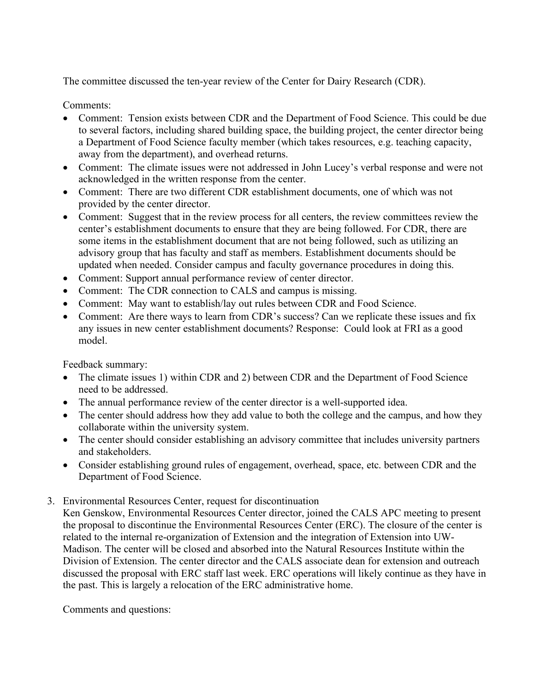The committee discussed the ten-year review of the Center for Dairy Research (CDR).

Comments:

- Comment: Tension exists between CDR and the Department of Food Science. This could be due to several factors, including shared building space, the building project, the center director being a Department of Food Science faculty member (which takes resources, e.g. teaching capacity, away from the department), and overhead returns.
- Comment: The climate issues were not addressed in John Lucey's verbal response and were not acknowledged in the written response from the center.
- Comment: There are two different CDR establishment documents, one of which was not provided by the center director.
- Comment: Suggest that in the review process for all centers, the review committees review the center's establishment documents to ensure that they are being followed. For CDR, there are some items in the establishment document that are not being followed, such as utilizing an advisory group that has faculty and staff as members. Establishment documents should be updated when needed. Consider campus and faculty governance procedures in doing this.
- Comment: Support annual performance review of center director.
- Comment: The CDR connection to CALS and campus is missing.
- Comment: May want to establish/lay out rules between CDR and Food Science.
- Comment: Are there ways to learn from CDR's success? Can we replicate these issues and fix any issues in new center establishment documents? Response: Could look at FRI as a good model.

Feedback summary:

- The climate issues 1) within CDR and 2) between CDR and the Department of Food Science need to be addressed.
- The annual performance review of the center director is a well-supported idea.
- The center should address how they add value to both the college and the campus, and how they collaborate within the university system.
- The center should consider establishing an advisory committee that includes university partners and stakeholders.
- Consider establishing ground rules of engagement, overhead, space, etc. between CDR and the Department of Food Science.
- 3. Environmental Resources Center, request for discontinuation

Ken Genskow, Environmental Resources Center director, joined the CALS APC meeting to present the proposal to discontinue the Environmental Resources Center (ERC). The closure of the center is related to the internal re-organization of Extension and the integration of Extension into UW-Madison. The center will be closed and absorbed into the Natural Resources Institute within the Division of Extension. The center director and the CALS associate dean for extension and outreach discussed the proposal with ERC staff last week. ERC operations will likely continue as they have in the past. This is largely a relocation of the ERC administrative home.

Comments and questions: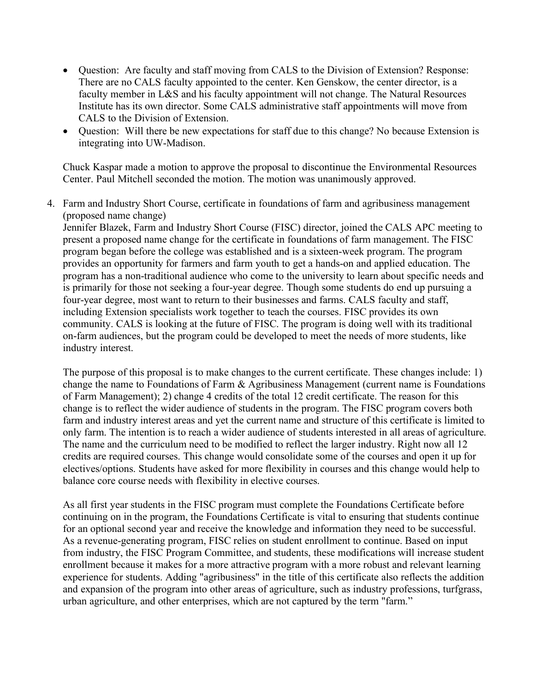- Question: Are faculty and staff moving from CALS to the Division of Extension? Response: There are no CALS faculty appointed to the center. Ken Genskow, the center director, is a faculty member in L&S and his faculty appointment will not change. The Natural Resources Institute has its own director. Some CALS administrative staff appointments will move from CALS to the Division of Extension.
- Question: Will there be new expectations for staff due to this change? No because Extension is integrating into UW-Madison.

Chuck Kaspar made a motion to approve the proposal to discontinue the Environmental Resources Center. Paul Mitchell seconded the motion. The motion was unanimously approved.

4. Farm and Industry Short Course, certificate in foundations of farm and agribusiness management (proposed name change)

Jennifer Blazek, Farm and Industry Short Course (FISC) director, joined the CALS APC meeting to present a proposed name change for the certificate in foundations of farm management. The FISC program began before the college was established and is a sixteen-week program. The program provides an opportunity for farmers and farm youth to get a hands-on and applied education. The program has a non-traditional audience who come to the university to learn about specific needs and is primarily for those not seeking a four-year degree. Though some students do end up pursuing a four-year degree, most want to return to their businesses and farms. CALS faculty and staff, including Extension specialists work together to teach the courses. FISC provides its own community. CALS is looking at the future of FISC. The program is doing well with its traditional on-farm audiences, but the program could be developed to meet the needs of more students, like industry interest.

The purpose of this proposal is to make changes to the current certificate. These changes include: 1) change the name to Foundations of Farm & Agribusiness Management (current name is Foundations of Farm Management); 2) change 4 credits of the total 12 credit certificate. The reason for this change is to reflect the wider audience of students in the program. The FISC program covers both farm and industry interest areas and yet the current name and structure of this certificate is limited to only farm. The intention is to reach a wider audience of students interested in all areas of agriculture. The name and the curriculum need to be modified to reflect the larger industry. Right now all 12 credits are required courses. This change would consolidate some of the courses and open it up for electives/options. Students have asked for more flexibility in courses and this change would help to balance core course needs with flexibility in elective courses.

As all first year students in the FISC program must complete the Foundations Certificate before continuing on in the program, the Foundations Certificate is vital to ensuring that students continue for an optional second year and receive the knowledge and information they need to be successful. As a revenue-generating program, FISC relies on student enrollment to continue. Based on input from industry, the FISC Program Committee, and students, these modifications will increase student enrollment because it makes for a more attractive program with a more robust and relevant learning experience for students. Adding "agribusiness" in the title of this certificate also reflects the addition and expansion of the program into other areas of agriculture, such as industry professions, turfgrass, urban agriculture, and other enterprises, which are not captured by the term "farm."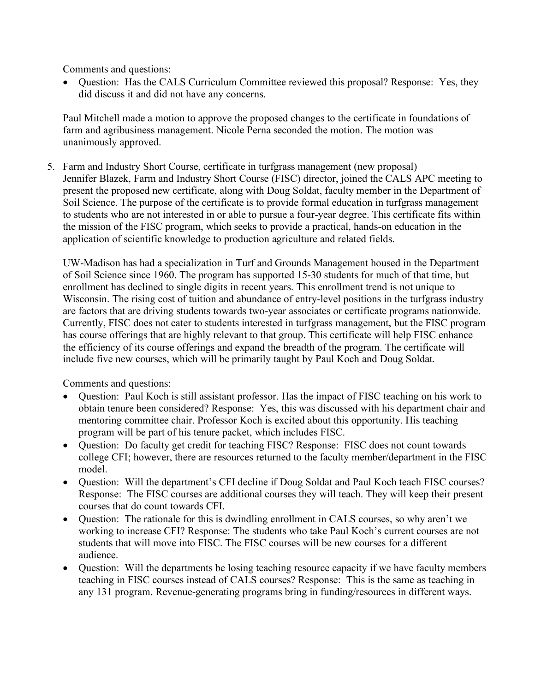Comments and questions:

• Question: Has the CALS Curriculum Committee reviewed this proposal? Response: Yes, they did discuss it and did not have any concerns.

Paul Mitchell made a motion to approve the proposed changes to the certificate in foundations of farm and agribusiness management. Nicole Perna seconded the motion. The motion was unanimously approved.

5. Farm and Industry Short Course, certificate in turfgrass management (new proposal) Jennifer Blazek, Farm and Industry Short Course (FISC) director, joined the CALS APC meeting to present the proposed new certificate, along with Doug Soldat, faculty member in the Department of Soil Science. The purpose of the certificate is to provide formal education in turfgrass management to students who are not interested in or able to pursue a four-year degree. This certificate fits within the mission of the FISC program, which seeks to provide a practical, hands-on education in the application of scientific knowledge to production agriculture and related fields.

UW-Madison has had a specialization in Turf and Grounds Management housed in the Department of Soil Science since 1960. The program has supported 15-30 students for much of that time, but enrollment has declined to single digits in recent years. This enrollment trend is not unique to Wisconsin. The rising cost of tuition and abundance of entry-level positions in the turfgrass industry are factors that are driving students towards two-year associates or certificate programs nationwide. Currently, FISC does not cater to students interested in turfgrass management, but the FISC program has course offerings that are highly relevant to that group. This certificate will help FISC enhance the efficiency of its course offerings and expand the breadth of the program. The certificate will include five new courses, which will be primarily taught by Paul Koch and Doug Soldat.

Comments and questions:

- Question: Paul Koch is still assistant professor. Has the impact of FISC teaching on his work to obtain tenure been considered? Response: Yes, this was discussed with his department chair and mentoring committee chair. Professor Koch is excited about this opportunity. His teaching program will be part of his tenure packet, which includes FISC.
- Ouestion: Do faculty get credit for teaching FISC? Response: FISC does not count towards college CFI; however, there are resources returned to the faculty member/department in the FISC model.
- Question: Will the department's CFI decline if Doug Soldat and Paul Koch teach FISC courses? Response: The FISC courses are additional courses they will teach. They will keep their present courses that do count towards CFI.
- Question: The rationale for this is dwindling enrollment in CALS courses, so why aren't we working to increase CFI? Response: The students who take Paul Koch's current courses are not students that will move into FISC. The FISC courses will be new courses for a different audience.
- Question: Will the departments be losing teaching resource capacity if we have faculty members teaching in FISC courses instead of CALS courses? Response: This is the same as teaching in any 131 program. Revenue-generating programs bring in funding/resources in different ways.